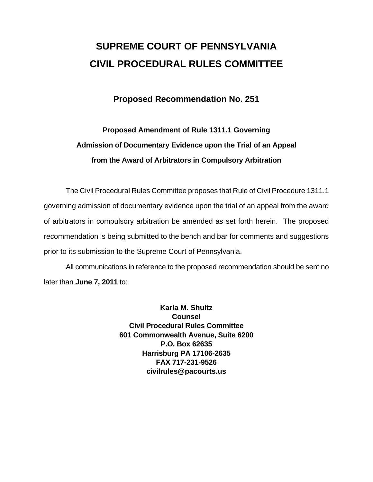# **SUPREME COURT OF PENNSYLVANIA CIVIL PROCEDURAL RULES COMMITTEE**

## **Proposed Recommendation No. 251**

## **Proposed Amendment of Rule 1311.1 Governing Admission of Documentary Evidence upon the Trial of an Appeal from the Award of Arbitrators in Compulsory Arbitration**

 The Civil Procedural Rules Committee proposes that Rule of Civil Procedure 1311.1 governing admission of documentary evidence upon the trial of an appeal from the award of arbitrators in compulsory arbitration be amended as set forth herein. The proposed recommendation is being submitted to the bench and bar for comments and suggestions prior to its submission to the Supreme Court of Pennsylvania.

 All communications in reference to the proposed recommendation should be sent no later than **June 7, 2011** to:

> **Karla M. Shultz Counsel Civil Procedural Rules Committee 601 Commonwealth Avenue, Suite 6200 P.O. Box 62635 Harrisburg PA 17106-2635 FAX 717-231-9526 civilrules@pacourts.us**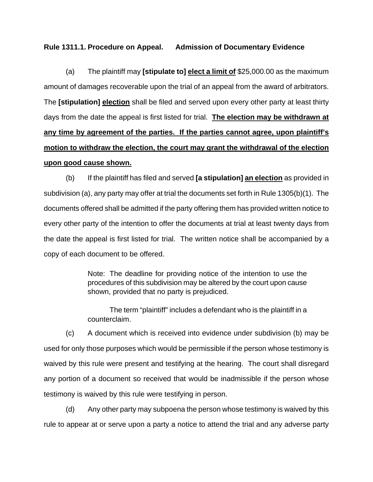#### **Rule 1311.1. Procedure on Appeal. Admission of Documentary Evidence**

 (a) The plaintiff may **[stipulate to] elect a limit of** \$25,000.00 as the maximum amount of damages recoverable upon the trial of an appeal from the award of arbitrators. The **[stipulation] election** shall be filed and served upon every other party at least thirty days from the date the appeal is first listed for trial. **The election may be withdrawn at any time by agreement of the parties. If the parties cannot agree, upon plaintiff's motion to withdraw the election, the court may grant the withdrawal of the election upon good cause shown.**

 (b) If the plaintiff has filed and served **[a stipulation] an election** as provided in subdivision (a), any party may offer at trial the documents set forth in Rule 1305(b)(1). The documents offered shall be admitted if the party offering them has provided written notice to every other party of the intention to offer the documents at trial at least twenty days from the date the appeal is first listed for trial. The written notice shall be accompanied by a copy of each document to be offered.

> Note: The deadline for providing notice of the intention to use the procedures of this subdivision may be altered by the court upon cause shown, provided that no party is prejudiced.

> The term "plaintiff" includes a defendant who is the plaintiff in a counterclaim.

 (c) A document which is received into evidence under subdivision (b) may be used for only those purposes which would be permissible if the person whose testimony is waived by this rule were present and testifying at the hearing. The court shall disregard any portion of a document so received that would be inadmissible if the person whose testimony is waived by this rule were testifying in person.

 (d) Any other party may subpoena the person whose testimony is waived by this rule to appear at or serve upon a party a notice to attend the trial and any adverse party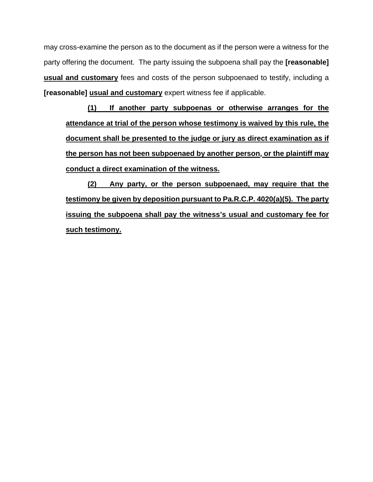may cross-examine the person as to the document as if the person were a witness for the party offering the document. The party issuing the subpoena shall pay the **[reasonable] usual and customary** fees and costs of the person subpoenaed to testify, including a **[reasonable] usual and customary** expert witness fee if applicable.

**(1) If another party subpoenas or otherwise arranges for the attendance at trial of the person whose testimony is waived by this rule, the document shall be presented to the judge or jury as direct examination as if the person has not been subpoenaed by another person, or the plaintiff may conduct a direct examination of the witness.**

**(2) Any party, or the person subpoenaed, may require that the testimony be given by deposition pursuant to Pa.R.C.P. 4020(a)(5). The party issuing the subpoena shall pay the witness's usual and customary fee for such testimony.**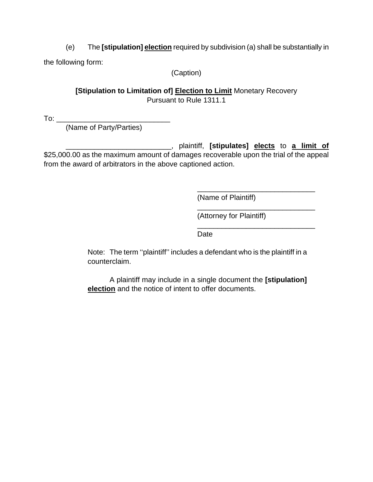(e) The **[stipulation] election** required by subdivision (a) shall be substantially in the following form:

(Caption)

## **[Stipulation to Limitation of] Election to Limit Monetary Recovery** Pursuant to Rule 1311.1

To: \_\_\_\_\_\_\_\_\_\_\_\_\_\_\_\_\_\_\_\_\_\_\_\_\_\_\_\_

(Name of Party/Parties)

\_\_\_\_\_\_\_\_\_\_\_\_\_\_\_\_\_\_\_\_\_\_\_\_\_\_, plaintiff, **[stipulates] elects** to **a limit of** \$25,000.00 as the maximum amount of damages recoverable upon the trial of the appeal from the award of arbitrators in the above captioned action.

 $\frac{1}{\sqrt{2\pi}}$  , which is a set of the set of the set of the set of the set of the set of the set of the set of the set of the set of the set of the set of the set of the set of the set of the set of the set of the set of

 $\frac{1}{\sqrt{2\pi}}$  , which is a set of the set of the set of the set of the set of the set of the set of the set of the set of the set of the set of the set of the set of the set of the set of the set of the set of the set of

 $\frac{1}{\sqrt{2\pi}}$  , which is a set of the set of the set of the set of the set of the set of the set of the set of the set of the set of the set of the set of the set of the set of the set of the set of the set of the set of

(Name of Plaintiff)

(Attorney for Plaintiff)

Date

Note: The term ''plaintiff'' includes a defendant who is the plaintiff in a counterclaim.

A plaintiff may include in a single document the **[stipulation] election** and the notice of intent to offer documents.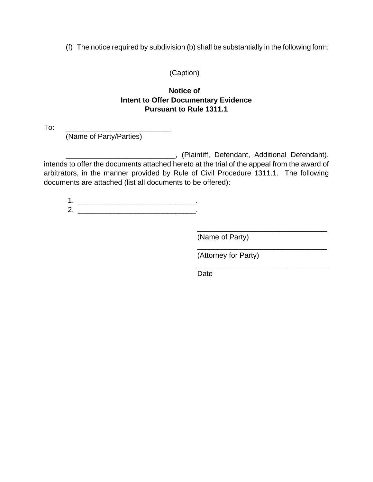(f) The notice required by subdivision (b) shall be substantially in the following form:

(Caption)

### **Notice of Intent to Offer Documentary Evidence Pursuant to Rule 1311.1**

To: \_\_\_\_\_\_\_\_\_\_\_\_\_\_\_\_\_\_\_\_\_\_\_\_\_\_

(Name of Party/Parties)

\_\_\_\_\_\_\_\_\_\_\_\_\_\_\_\_\_\_\_\_\_\_\_\_\_\_\_, (Plaintiff, Defendant, Additional Defendant), intends to offer the documents attached hereto at the trial of the appeal from the award of arbitrators, in the manner provided by Rule of Civil Procedure 1311.1. The following documents are attached (list all documents to be offered):

 $\overline{\phantom{a}}$  , and the contract of the contract of the contract of the contract of the contract of the contract of the contract of the contract of the contract of the contract of the contract of the contract of the contrac

 1. \_\_\_\_\_\_\_\_\_\_\_\_\_\_\_\_\_\_\_\_\_\_\_\_\_\_\_\_\_.  $2.$ 

(Name of Party)

(Attorney for Party)

\_\_\_\_\_\_\_\_\_\_\_\_\_\_\_\_\_\_\_\_\_\_\_\_\_\_\_\_\_\_\_\_

\_\_\_\_\_\_\_\_\_\_\_\_\_\_\_\_\_\_\_\_\_\_\_\_\_\_\_\_\_\_\_\_

Date